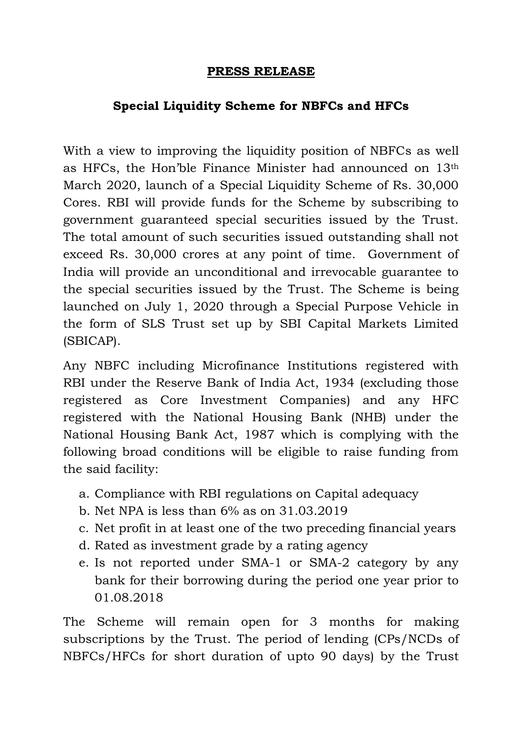## **PRESS RELEASE**

## **Special Liquidity Scheme for NBFCs and HFCs**

With a view to improving the liquidity position of NBFCs as well as HFCs, the Hon'ble Finance Minister had announced on 13th March 2020, launch of a Special Liquidity Scheme of Rs. 30,000 Cores. RBI will provide funds for the Scheme by subscribing to government guaranteed special securities issued by the Trust. The total amount of such securities issued outstanding shall not exceed Rs. 30,000 crores at any point of time. Government of India will provide an unconditional and irrevocable guarantee to the special securities issued by the Trust. The Scheme is being launched on July 1, 2020 through a Special Purpose Vehicle in the form of SLS Trust set up by SBI Capital Markets Limited (SBICAP).

Any NBFC including Microfinance Institutions registered with RBI under the Reserve Bank of India Act, 1934 (excluding those registered as Core Investment Companies) and any HFC registered with the National Housing Bank (NHB) under the National Housing Bank Act, 1987 which is complying with the following broad conditions will be eligible to raise funding from the said facility:

- a. Compliance with RBI regulations on Capital adequacy
- b. Net NPA is less than 6% as on 31.03.2019
- c. Net profit in at least one of the two preceding financial years
- d. Rated as investment grade by a rating agency
- e. Is not reported under SMA-1 or SMA-2 category by any bank for their borrowing during the period one year prior to 01.08.2018

The Scheme will remain open for 3 months for making subscriptions by the Trust. The period of lending (CPs/NCDs of NBFCs/HFCs for short duration of upto 90 days) by the Trust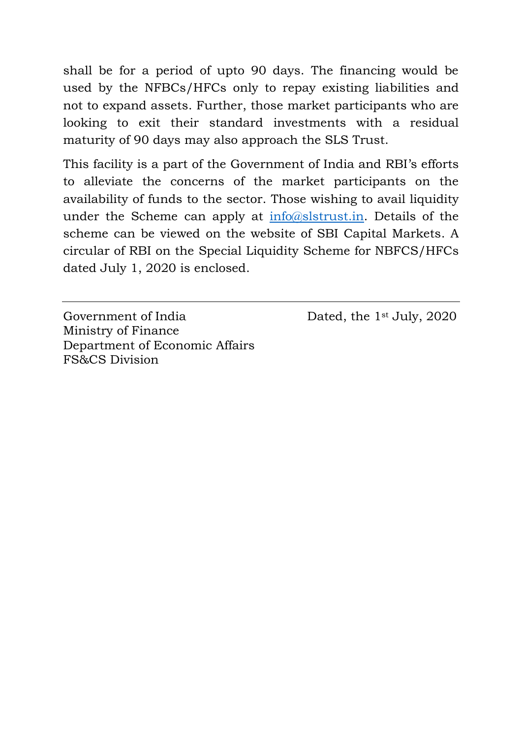shall be for a period of upto 90 days. The financing would be used by the NFBCs/HFCs only to repay existing liabilities and not to expand assets. Further, those market participants who are looking to exit their standard investments with a residual maturity of 90 days may also approach the SLS Trust.

This facility is a part of the Government of India and RBI's efforts to alleviate the concerns of the market participants on the availability of funds to the sector. Those wishing to avail liquidity under the Scheme can apply at  $\frac{info(@slstrust.in)}{info(@slstrust.in)}$ . Details of the scheme can be viewed on the website of SBI Capital Markets. A circular of RBI on the Special Liquidity Scheme for NBFCS/HFCs dated July 1, 2020 is enclosed.

Government of India Dated, the 1<sup>st</sup> July, 2020 Ministry of Finance Department of Economic Affairs FS&CS Division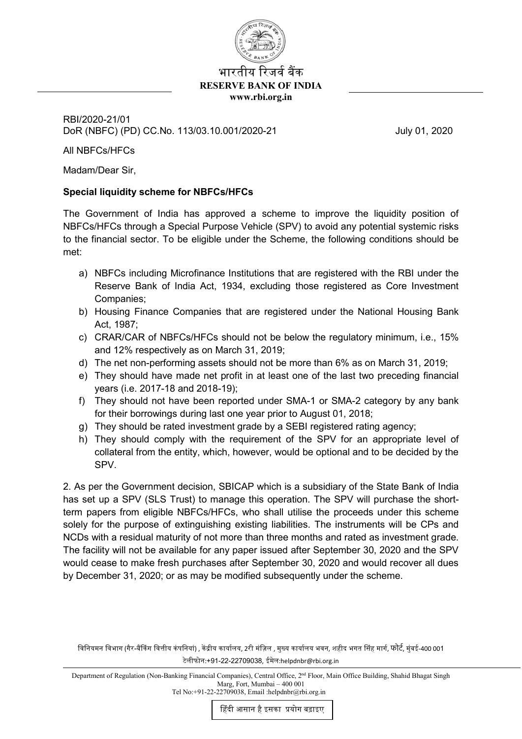

## भारतीय रिजर्व बैंक **RESERVE BANK OF INDIA www.rbi.org.in**

RBI/2020-21/01 DoR (NBFC) (PD) CC.No. 113/03.10.001/2020-21 July 01, 2020

All NBFCs/HFCs

Madam/Dear Sir,

## **Special liquidity scheme for NBFCs/HFCs**

The Government of India has approved a scheme to improve the liquidity position of NBFCs/HFCs through a Special Purpose Vehicle (SPV) to avoid any potential systemic risks to the financial sector. To be eligible under the Scheme, the following conditions should be met:

- a) NBFCs including Microfinance Institutions that are registered with the RBI under the Reserve Bank of India Act, 1934, excluding those registered as Core Investment Companies;
- b) Housing Finance Companies that are registered under the National Housing Bank Act, 1987;
- c) CRAR/CAR of NBFCs/HFCs should not be below the regulatory minimum, i.e., 15% and 12% respectively as on March 31, 2019;
- d) The net non-performing assets should not be more than 6% as on March 31, 2019;
- e) They should have made net profit in at least one of the last two preceding financial years (i.e. 2017-18 and 2018-19);
- f) They should not have been reported under SMA-1 or SMA-2 category by any bank for their borrowings during last one year prior to August 01, 2018;
- g) They should be rated investment grade by a SEBI registered rating agency;
- h) They should comply with the requirement of the SPV for an appropriate level of collateral from the entity, which, however, would be optional and to be decided by the SPV.

2. As per the Government decision, SBICAP which is a subsidiary of the State Bank of India has set up a SPV (SLS Trust) to manage this operation. The SPV will purchase the shortterm papers from eligible NBFCs/HFCs, who shall utilise the proceeds under this scheme solely for the purpose of extinguishing existing liabilities. The instruments will be CPs and NCDs with a residual maturity of not more than three months and rated as investment grade. The facility will not be available for any paper issued after September 30, 2020 and the SPV would cease to make fresh purchases after September 30, 2020 and would recover all dues by December 31, 2020; or as may be modified subsequently under the scheme.

विनियमन विभाग (गैर-बैंकिंग वित्तीय कंपनियां) , केंद्रीय कार्यालय, 2री मंज़िल , मुख्य कार्यालय भवन, शहीद भगत सिंह मार्ग, फोर्ट, मुंबई-400 001 टेलीफोन:+91-22-22709038, ईमेल:helpdnbr@rbi.org.in

Department of Regulation (Non-Banking Financial Companies), Central Office, 2nd Floor, Main Office Building, Shahid Bhagat Singh Marg, Fort, Mumbai – 400 001 Tel No:+91-22-22709038, Email :helpdnbr@rbi.org.in

�हंदी आसान हैइसका �योग बढ़ाइए